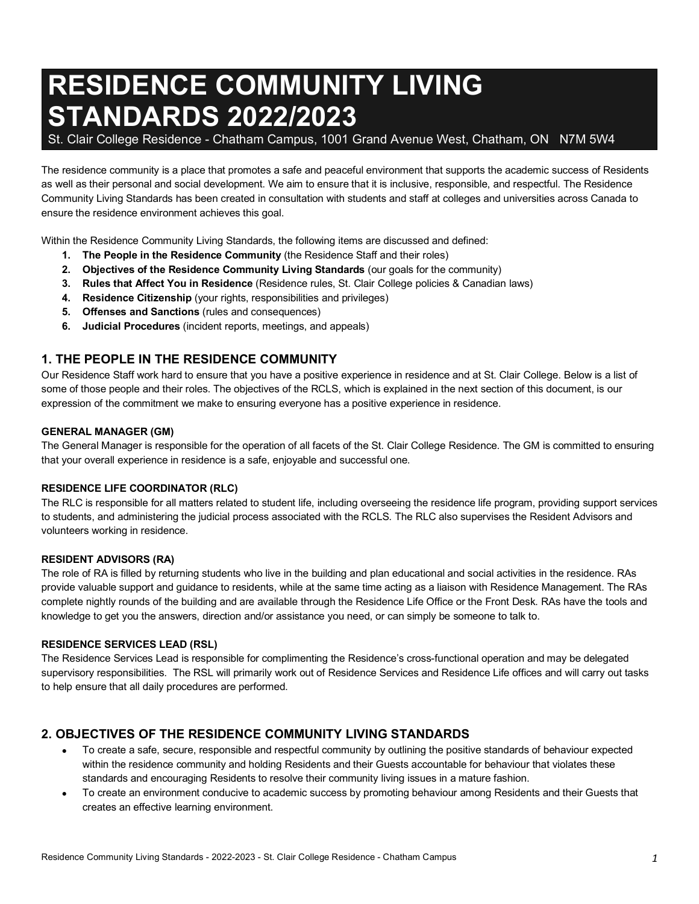# **RESIDENCE COMMUNITY LIVING STANDARDS 2022/2023**

St. Clair College Residence - Chatham Campus, 1001 Grand Avenue West, Chatham, ON N7M 5W4

The residence community is a place that promotes a safe and peaceful environment that supports the academic success of Residents as well as their personal and social development. We aim to ensure that it is inclusive, responsible, and respectful. The Residence Community Living Standards has been created in consultation with students and staff at colleges and universities across Canada to ensure the residence environment achieves this goal.

Within the Residence Community Living Standards, the following items are discussed and defined:

- **1. The People in the Residence Community** (the Residence Staff and their roles)
- **2. Objectives of the Residence Community Living Standards** (our goals for the community)
- **3. Rules that Affect You in Residence** (Residence rules, St. Clair College policies & Canadian laws)
- **4. Residence Citizenship** (your rights, responsibilities and privileges)
- **5. Offenses and Sanctions** (rules and consequences)
- **6. Judicial Procedures** (incident reports, meetings, and appeals)

# **1. THE PEOPLE IN THE RESIDENCE COMMUNITY**

Our Residence Staff work hard to ensure that you have a positive experience in residence and at St. Clair College. Below is a list of some of those people and their roles. The objectives of the RCLS, which is explained in the next section of this document, is our expression of the commitment we make to ensuring everyone has a positive experience in residence.

#### **GENERAL MANAGER (GM)**

The General Manager is responsible for the operation of all facets of the St. Clair College Residence. The GM is committed to ensuring that your overall experience in residence is a safe, enjoyable and successful one.

#### **RESIDENCE LIFE COORDINATOR (RLC)**

The RLC is responsible for all matters related to student life, including overseeing the residence life program, providing support services to students, and administering the judicial process associated with the RCLS. The RLC also supervises the Resident Advisors and volunteers working in residence.

#### **RESIDENT ADVISORS (RA)**

The role of RA is filled by returning students who live in the building and plan educational and social activities in the residence. RAs provide valuable support and guidance to residents, while at the same time acting as a liaison with Residence Management. The RAs complete nightly rounds of the building and are available through the Residence Life Office or the Front Desk. RAs have the tools and knowledge to get you the answers, direction and/or assistance you need, or can simply be someone to talk to.

#### **RESIDENCE SERVICES LEAD (RSL)**

The Residence Services Lead is responsible for complimenting the Residence's cross-functional operation and may be delegated supervisory responsibilities. The RSL will primarily work out of Residence Services and Residence Life offices and will carry out tasks to help ensure that all daily procedures are performed.

# **2. OBJECTIVES OF THE RESIDENCE COMMUNITY LIVING STANDARDS**

- To create a safe, secure, responsible and respectful community by outlining the positive standards of behaviour expected within the residence community and holding Residents and their Guests accountable for behaviour that violates these standards and encouraging Residents to resolve their community living issues in a mature fashion.
- To create an environment conducive to academic success by promoting behaviour among Residents and their Guests that creates an effective learning environment.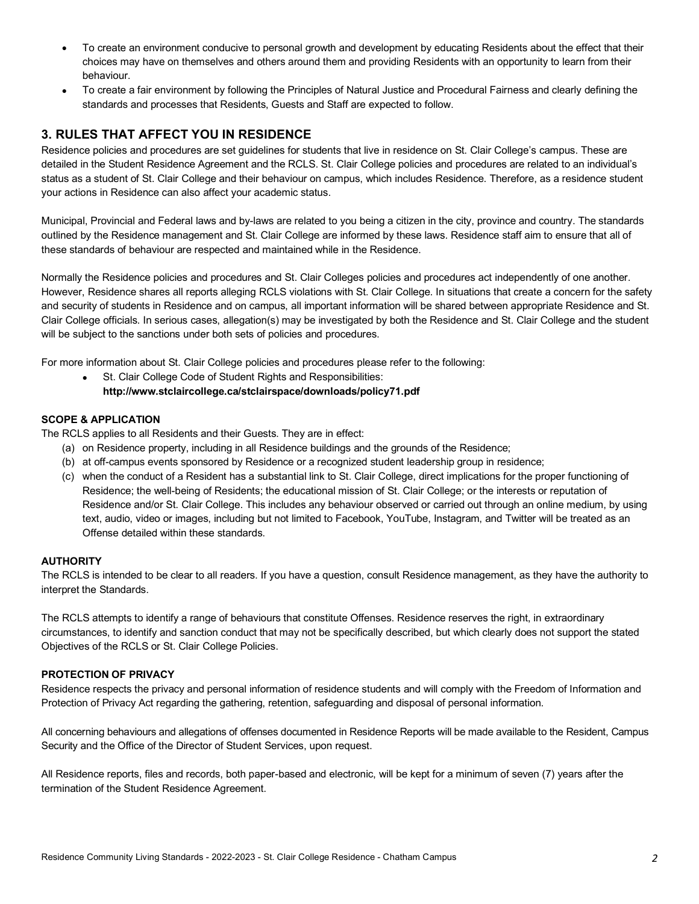- To create an environment conducive to personal growth and development by educating Residents about the effect that their choices may have on themselves and others around them and providing Residents with an opportunity to learn from their behaviour.
- To create a fair environment by following the Principles of Natural Justice and Procedural Fairness and clearly defining the standards and processes that Residents, Guests and Staff are expected to follow.

# **3. RULES THAT AFFECT YOU IN RESIDENCE**

Residence policies and procedures are set guidelines for students that live in residence on St. Clair College's campus. These are detailed in the Student Residence Agreement and the RCLS. St. Clair College policies and procedures are related to an individual's status as a student of St. Clair College and their behaviour on campus, which includes Residence. Therefore, as a residence student your actions in Residence can also affect your academic status.

Municipal, Provincial and Federal laws and by-laws are related to you being a citizen in the city, province and country. The standards outlined by the Residence management and St. Clair College are informed by these laws. Residence staff aim to ensure that all of these standards of behaviour are respected and maintained while in the Residence.

Normally the Residence policies and procedures and St. Clair Colleges policies and procedures act independently of one another. However, Residence shares all reports alleging RCLS violations with St. Clair College. In situations that create a concern for the safety and security of students in Residence and on campus, all important information will be shared between appropriate Residence and St. Clair College officials. In serious cases, allegation(s) may be investigated by both the Residence and St. Clair College and the student will be subject to the sanctions under both sets of policies and procedures.

For more information about St. Clair College policies and procedures please refer to the following:

St. Clair College Code of Student Rights and Responsibilities: **http://www.stclaircollege.ca/stclairspace/downloads/policy71.pdf** 

#### **SCOPE & APPLICATION**

The RCLS applies to all Residents and their Guests. They are in effect:

- (a) on Residence property, including in all Residence buildings and the grounds of the Residence;
- (b) at off-campus events sponsored by Residence or a recognized student leadership group in residence;
- (c) when the conduct of a Resident has a substantial link to St. Clair College, direct implications for the proper functioning of Residence; the well-being of Residents; the educational mission of St. Clair College; or the interests or reputation of Residence and/or St. Clair College. This includes any behaviour observed or carried out through an online medium, by using text, audio, video or images, including but not limited to Facebook, YouTube, Instagram, and Twitter will be treated as an Offense detailed within these standards.

#### **AUTHORITY**

The RCLS is intended to be clear to all readers. If you have a question, consult Residence management, as they have the authority to interpret the Standards.

The RCLS attempts to identify a range of behaviours that constitute Offenses. Residence reserves the right, in extraordinary circumstances, to identify and sanction conduct that may not be specifically described, but which clearly does not support the stated Objectives of the RCLS or St. Clair College Policies.

#### **PROTECTION OF PRIVACY**

Residence respects the privacy and personal information of residence students and will comply with the Freedom of Information and Protection of Privacy Act regarding the gathering, retention, safeguarding and disposal of personal information.

All concerning behaviours and allegations of offenses documented in Residence Reports will be made available to the Resident, Campus Security and the Office of the Director of Student Services, upon request.

All Residence reports, files and records, both paper-based and electronic, will be kept for a minimum of seven (7) years after the termination of the Student Residence Agreement.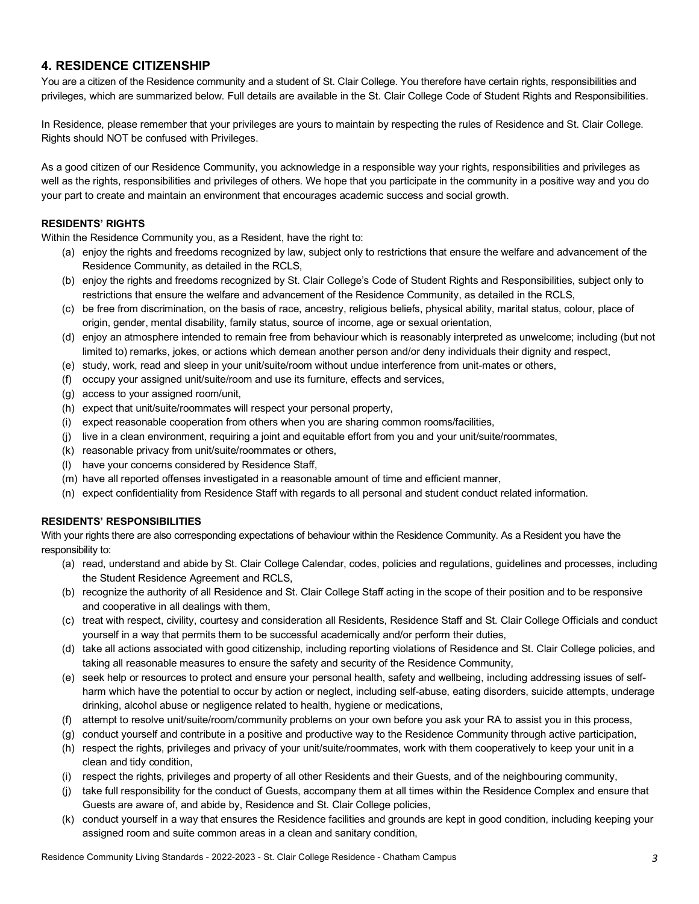# **4. RESIDENCE CITIZENSHIP**

You are a citizen of the Residence community and a student of St. Clair College. You therefore have certain rights, responsibilities and privileges, which are summarized below. Full details are available in the St. Clair College Code of Student Rights and Responsibilities.

In Residence, please remember that your privileges are yours to maintain by respecting the rules of Residence and St. Clair College. Rights should NOT be confused with Privileges.

As a good citizen of our Residence Community, you acknowledge in a responsible way your rights, responsibilities and privileges as well as the rights, responsibilities and privileges of others. We hope that you participate in the community in a positive way and you do your part to create and maintain an environment that encourages academic success and social growth.

#### **RESIDENTS' RIGHTS**

Within the Residence Community you, as a Resident, have the right to:

- (a) enjoy the rights and freedoms recognized by law, subject only to restrictions that ensure the welfare and advancement of the Residence Community, as detailed in the RCLS,
- (b) enjoy the rights and freedoms recognized by St. Clair College's Code of Student Rights and Responsibilities, subject only to restrictions that ensure the welfare and advancement of the Residence Community, as detailed in the RCLS,
- (c) be free from discrimination, on the basis of race, ancestry, religious beliefs, physical ability, marital status, colour, place of origin, gender, mental disability, family status, source of income, age or sexual orientation,
- (d) enjoy an atmosphere intended to remain free from behaviour which is reasonably interpreted as unwelcome; including (but not limited to) remarks, jokes, or actions which demean another person and/or deny individuals their dignity and respect,
- (e) study, work, read and sleep in your unit/suite/room without undue interference from unit-mates or others,
- (f) occupy your assigned unit/suite/room and use its furniture, effects and services,
- (g) access to your assigned room/unit,
- (h) expect that unit/suite/roommates will respect your personal property,
- (i) expect reasonable cooperation from others when you are sharing common rooms/facilities,
- (j) live in a clean environment, requiring a joint and equitable effort from you and your unit/suite/roommates,
- (k) reasonable privacy from unit/suite/roommates or others,
- (l) have your concerns considered by Residence Staff,
- (m) have all reported offenses investigated in a reasonable amount of time and efficient manner,
- (n) expect confidentiality from Residence Staff with regards to all personal and student conduct related information.

#### **RESIDENTS' RESPONSIBILITIES**

With your rights there are also corresponding expectations of behaviour within the Residence Community. As a Resident you have the responsibility to:

- (a) read, understand and abide by St. Clair College Calendar, codes, policies and regulations, guidelines and processes, including the Student Residence Agreement and RCLS,
- (b) recognize the authority of all Residence and St. Clair College Staff acting in the scope of their position and to be responsive and cooperative in all dealings with them,
- (c) treat with respect, civility, courtesy and consideration all Residents, Residence Staff and St. Clair College Officials and conduct yourself in a way that permits them to be successful academically and/or perform their duties,
- (d) take all actions associated with good citizenship, including reporting violations of Residence and St. Clair College policies, and taking all reasonable measures to ensure the safety and security of the Residence Community,
- (e) seek help or resources to protect and ensure your personal health, safety and wellbeing, including addressing issues of selfharm which have the potential to occur by action or neglect, including self-abuse, eating disorders, suicide attempts, underage drinking, alcohol abuse or negligence related to health, hygiene or medications,
- (f) attempt to resolve unit/suite/room/community problems on your own before you ask your RA to assist you in this process,
- (g) conduct yourself and contribute in a positive and productive way to the Residence Community through active participation,
- (h) respect the rights, privileges and privacy of your unit/suite/roommates, work with them cooperatively to keep your unit in a clean and tidy condition,
- (i) respect the rights, privileges and property of all other Residents and their Guests, and of the neighbouring community,
- (j) take full responsibility for the conduct of Guests, accompany them at all times within the Residence Complex and ensure that Guests are aware of, and abide by, Residence and St. Clair College policies,
- (k) conduct yourself in a way that ensures the Residence facilities and grounds are kept in good condition, including keeping your assigned room and suite common areas in a clean and sanitary condition,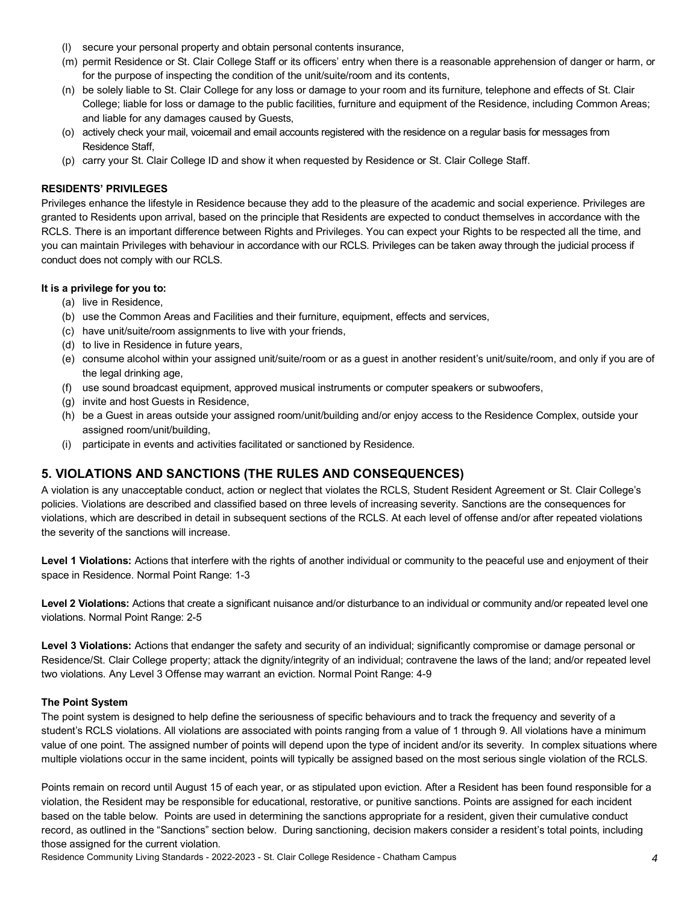- (l) secure your personal property and obtain personal contents insurance,
- (m) permit Residence or St. Clair College Staff or its officers' entry when there is a reasonable apprehension of danger or harm, or for the purpose of inspecting the condition of the unit/suite/room and its contents,
- (n) be solely liable to St. Clair College for any loss or damage to your room and its furniture, telephone and effects of St. Clair College; liable for loss or damage to the public facilities, furniture and equipment of the Residence, including Common Areas; and liable for any damages caused by Guests,
- (o) actively check your mail, voicemail and email accounts registered with the residence on a regular basis for messages from Residence Staff,
- (p) carry your St. Clair College ID and show it when requested by Residence or St. Clair College Staff.

#### **RESIDENTS' PRIVILEGES**

Privileges enhance the lifestyle in Residence because they add to the pleasure of the academic and social experience. Privileges are granted to Residents upon arrival, based on the principle that Residents are expected to conduct themselves in accordance with the RCLS. There is an important difference between Rights and Privileges. You can expect your Rights to be respected all the time, and you can maintain Privileges with behaviour in accordance with our RCLS. Privileges can be taken away through the judicial process if conduct does not comply with our RCLS.

#### **It is a privilege for you to:**

- (a) live in Residence,
- (b) use the Common Areas and Facilities and their furniture, equipment, effects and services,
- (c) have unit/suite/room assignments to live with your friends,
- (d) to live in Residence in future years,
- (e) consume alcohol within your assigned unit/suite/room or as a guest in another resident's unit/suite/room, and only if you are of the legal drinking age,
- (f) use sound broadcast equipment, approved musical instruments or computer speakers or subwoofers,
- (g) invite and host Guests in Residence,
- (h) be a Guest in areas outside your assigned room/unit/building and/or enjoy access to the Residence Complex, outside your assigned room/unit/building,
- (i) participate in events and activities facilitated or sanctioned by Residence.

# **5. VIOLATIONS AND SANCTIONS (THE RULES AND CONSEQUENCES)**

A violation is any unacceptable conduct, action or neglect that violates the RCLS, Student Resident Agreement or St. Clair College's policies. Violations are described and classified based on three levels of increasing severity. Sanctions are the consequences for violations, which are described in detail in subsequent sections of the RCLS. At each level of offense and/or after repeated violations the severity of the sanctions will increase.

Level 1 Violations: Actions that interfere with the rights of another individual or community to the peaceful use and enjoyment of their space in Residence. Normal Point Range: 1-3

Level 2 Violations: Actions that create a significant nuisance and/or disturbance to an individual or community and/or repeated level one violations. Normal Point Range: 2-5

**Level 3 Violations:** Actions that endanger the safety and security of an individual; significantly compromise or damage personal or Residence/St. Clair College property; attack the dignity/integrity of an individual; contravene the laws of the land; and/or repeated level two violations. Any Level 3 Offense may warrant an eviction. Normal Point Range: 4-9

#### **The Point System**

The point system is designed to help define the seriousness of specific behaviours and to track the frequency and severity of a student's RCLS violations. All violations are associated with points ranging from a value of 1 through 9. All violations have a minimum value of one point. The assigned number of points will depend upon the type of incident and/or its severity. In complex situations where multiple violations occur in the same incident, points will typically be assigned based on the most serious single violation of the RCLS.

Points remain on record until August 15 of each year, or as stipulated upon eviction. After a Resident has been found responsible for a violation, the Resident may be responsible for educational, restorative, or punitive sanctions. Points are assigned for each incident based on the table below. Points are used in determining the sanctions appropriate for a resident, given their cumulative conduct record, as outlined in the "Sanctions" section below. During sanctioning, decision makers consider a resident's total points, including those assigned for the current violation.

Residence Community Living Standards - 2022-2023 - St. Clair College Residence - Chatham Campus *4*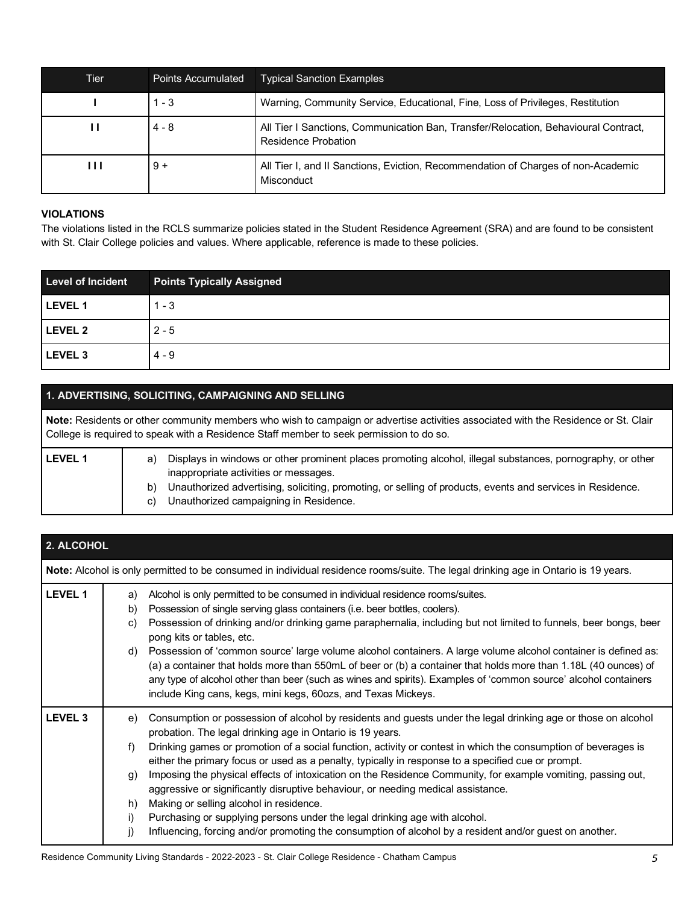| Tier | Points Accumulated | <b>Typical Sanction Examples</b>                                                                           |
|------|--------------------|------------------------------------------------------------------------------------------------------------|
|      | $1 - 3$            | Warning, Community Service, Educational, Fine, Loss of Privileges, Restitution                             |
| ш    | $4 - 8$            | All Tier I Sanctions, Communication Ban, Transfer/Relocation, Behavioural Contract,<br>Residence Probation |
| ш    | $9+$               | All Tier I, and II Sanctions, Eviction, Recommendation of Charges of non-Academic<br>Misconduct            |

#### **VIOLATIONS**

The violations listed in the RCLS summarize policies stated in the Student Residence Agreement (SRA) and are found to be consistent with St. Clair College policies and values. Where applicable, reference is made to these policies.

| <b>Level of Incident</b> | <b>Points Typically Assigned</b> |
|--------------------------|----------------------------------|
| LEVEL 1                  | $1 - 3$                          |
| LEVEL 2                  | $2 - 5$                          |
| LEVEL <sub>3</sub>       | $4 - 9$                          |

# **1. ADVERTISING, SOLICITING, CAMPAIGNING AND SELLING**

**Note:** Residents or other community members who wish to campaign or advertise activities associated with the Residence or St. Clair College is required to speak with a Residence Staff member to seek permission to do so.

| <b>LEVEL 1</b> | Displays in windows or other prominent places promoting alcohol, illegal substances, pornography, or other<br>inappropriate activities or messages.        |
|----------------|------------------------------------------------------------------------------------------------------------------------------------------------------------|
|                | Unauthorized advertising, soliciting, promoting, or selling of products, events and services in Residence.<br>b)<br>Unauthorized campaigning in Residence. |

| 2. ALCOHOL     |                                                                                                                                    |                                                                                                                                                                                                                                                                                                                                                                                                                                                                                                                                                                                                                                                                                                                                                                                                                                            |  |  |
|----------------|------------------------------------------------------------------------------------------------------------------------------------|--------------------------------------------------------------------------------------------------------------------------------------------------------------------------------------------------------------------------------------------------------------------------------------------------------------------------------------------------------------------------------------------------------------------------------------------------------------------------------------------------------------------------------------------------------------------------------------------------------------------------------------------------------------------------------------------------------------------------------------------------------------------------------------------------------------------------------------------|--|--|
|                | Note: Alcohol is only permitted to be consumed in individual residence rooms/suite. The legal drinking age in Ontario is 19 years. |                                                                                                                                                                                                                                                                                                                                                                                                                                                                                                                                                                                                                                                                                                                                                                                                                                            |  |  |
| <b>LEVEL 1</b> | a)<br>b)<br>C)<br>d)                                                                                                               | Alcohol is only permitted to be consumed in individual residence rooms/suites.<br>Possession of single serving glass containers (i.e. beer bottles, coolers).<br>Possession of drinking and/or drinking game paraphernalia, including but not limited to funnels, beer bongs, beer<br>pong kits or tables, etc.<br>Possession of 'common source' large volume alcohol containers. A large volume alcohol container is defined as:<br>(a) a container that holds more than 550mL of beer or (b) a container that holds more than 1.18L (40 ounces) of<br>any type of alcohol other than beer (such as wines and spirits). Examples of 'common source' alcohol containers<br>include King cans, kegs, mini kegs, 60ozs, and Texas Mickeys.                                                                                                   |  |  |
| <b>LEVEL 3</b> | e)<br>f)<br>q)<br>h)<br>i)<br>j)                                                                                                   | Consumption or possession of alcohol by residents and guests under the legal drinking age or those on alcohol<br>probation. The legal drinking age in Ontario is 19 years.<br>Drinking games or promotion of a social function, activity or contest in which the consumption of beverages is<br>either the primary focus or used as a penalty, typically in response to a specified cue or prompt.<br>Imposing the physical effects of intoxication on the Residence Community, for example vomiting, passing out,<br>aggressive or significantly disruptive behaviour, or needing medical assistance.<br>Making or selling alcohol in residence.<br>Purchasing or supplying persons under the legal drinking age with alcohol.<br>Influencing, forcing and/or promoting the consumption of alcohol by a resident and/or guest on another. |  |  |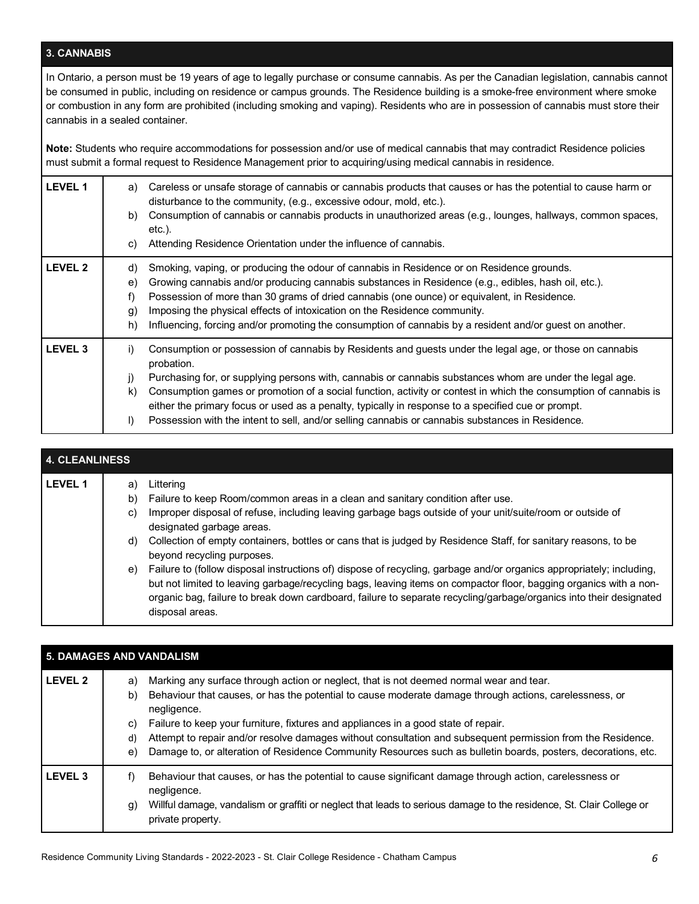# **3. CANNABIS**

In Ontario, a person must be 19 years of age to legally purchase or consume cannabis. As per the Canadian legislation, cannabis cannot be consumed in public, including on residence or campus grounds. The Residence building is a smoke-free environment where smoke or combustion in any form are prohibited (including smoking and vaping). Residents who are in possession of cannabis must store their cannabis in a sealed container.

**Note:** Students who require accommodations for possession and/or use of medical cannabis that may contradict Residence policies must submit a formal request to Residence Management prior to acquiring/using medical cannabis in residence.

| <b>LEVEL 1</b> | Careless or unsafe storage of cannabis or cannabis products that causes or has the potential to cause harm or<br>a)<br>disturbance to the community, (e.g., excessive odour, mold, etc.).<br>Consumption of cannabis or cannabis products in unauthorized areas (e.g., lounges, hallways, common spaces,<br>b)<br>$etc.$ ).<br>Attending Residence Orientation under the influence of cannabis.<br>C)                                                                                                                                                                                                  |
|----------------|--------------------------------------------------------------------------------------------------------------------------------------------------------------------------------------------------------------------------------------------------------------------------------------------------------------------------------------------------------------------------------------------------------------------------------------------------------------------------------------------------------------------------------------------------------------------------------------------------------|
| <b>LEVEL 2</b> | Smoking, vaping, or producing the odour of cannabis in Residence or on Residence grounds.<br>d)<br>Growing cannabis and/or producing cannabis substances in Residence (e.g., edibles, hash oil, etc.).<br>e)<br>Possession of more than 30 grams of dried cannabis (one ounce) or equivalent, in Residence.<br>f)<br>Imposing the physical effects of intoxication on the Residence community.<br>.g)<br>Influencing, forcing and/or promoting the consumption of cannabis by a resident and/or guest on another.<br>h)                                                                                |
| <b>LEVEL 3</b> | i)<br>Consumption or possession of cannabis by Residents and guests under the legal age, or those on cannabis<br>probation.<br>Purchasing for, or supplying persons with, cannabis or cannabis substances whom are under the legal age.<br>j)<br>Consumption games or promotion of a social function, activity or contest in which the consumption of cannabis is<br>$\mathsf{k}$<br>either the primary focus or used as a penalty, typically in response to a specified cue or prompt.<br>$\vert$<br>Possession with the intent to sell, and/or selling cannabis or cannabis substances in Residence. |

# **4. CLEANLINESS LEVEL 1** a) Littering b) Failure to keep Room/common areas in a clean and sanitary condition after use. c) Improper disposal of refuse, including leaving garbage bags outside of your unit/suite/room or outside of designated garbage areas. d) Collection of empty containers, bottles or cans that is judged by Residence Staff, for sanitary reasons, to be beyond recycling purposes. e) Failure to (follow disposal instructions of) dispose of recycling, garbage and/or organics appropriately; including, but not limited to leaving garbage/recycling bags, leaving items on compactor floor, bagging organics with a nonorganic bag, failure to break down cardboard, failure to separate recycling/garbage/organics into their designated disposal areas.

| <b>5. DAMAGES AND VANDALISM</b> |                            |                                                                                                                                                                                                                                                                                                                                                                                                                                                                                                                                        |  |
|---------------------------------|----------------------------|----------------------------------------------------------------------------------------------------------------------------------------------------------------------------------------------------------------------------------------------------------------------------------------------------------------------------------------------------------------------------------------------------------------------------------------------------------------------------------------------------------------------------------------|--|
| <b>LEVEL 2</b>                  | a)<br>b)<br>C)<br>d)<br>e) | Marking any surface through action or neglect, that is not deemed normal wear and tear.<br>Behaviour that causes, or has the potential to cause moderate damage through actions, carelessness, or<br>negligence.<br>Failure to keep your furniture, fixtures and appliances in a good state of repair.<br>Attempt to repair and/or resolve damages without consultation and subsequent permission from the Residence.<br>Damage to, or alteration of Residence Community Resources such as bulletin boards, posters, decorations, etc. |  |
| <b>LEVEL 3</b>                  | f)<br>g)                   | Behaviour that causes, or has the potential to cause significant damage through action, carelessness or<br>negligence.<br>Willful damage, vandalism or graffiti or neglect that leads to serious damage to the residence, St. Clair College or<br>private property.                                                                                                                                                                                                                                                                    |  |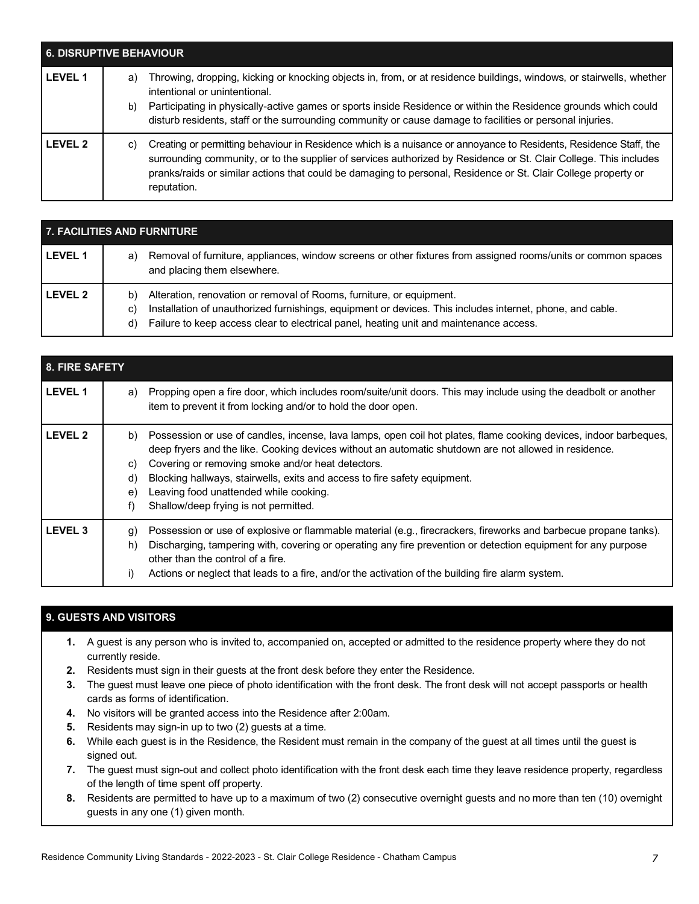| <b>6. DISRUPTIVE BEHAVIOUR</b> |          |                                                                                                                                                                                                                                                                                                                                                                                       |
|--------------------------------|----------|---------------------------------------------------------------------------------------------------------------------------------------------------------------------------------------------------------------------------------------------------------------------------------------------------------------------------------------------------------------------------------------|
| <b>LEVEL 1</b>                 | a)<br>b) | Throwing, dropping, kicking or knocking objects in, from, or at residence buildings, windows, or stairwells, whether<br>intentional or unintentional.<br>Participating in physically-active games or sports inside Residence or within the Residence grounds which could<br>disturb residents, staff or the surrounding community or cause damage to facilities or personal injuries. |
| I FVFI <sub>2</sub>            | C)       | Creating or permitting behaviour in Residence which is a nuisance or annoyance to Residents, Residence Staff, the<br>surrounding community, or to the supplier of services authorized by Residence or St. Clair College. This includes<br>pranks/raids or similar actions that could be damaging to personal, Residence or St. Clair College property or<br>reputation.               |

| 7. FACILITIES AND FURNITURE |                                                                                                                                                                                                                                                                                               |  |  |
|-----------------------------|-----------------------------------------------------------------------------------------------------------------------------------------------------------------------------------------------------------------------------------------------------------------------------------------------|--|--|
| <b>LEVEL 1</b>              | Removal of furniture, appliances, window screens or other fixtures from assigned rooms/units or common spaces<br>a)<br>and placing them elsewhere.                                                                                                                                            |  |  |
| <b>LEVEL 2</b>              | Alteration, renovation or removal of Rooms, furniture, or equipment.<br>b)<br>Installation of unauthorized furnishings, equipment or devices. This includes internet, phone, and cable.<br>C)<br>Failure to keep access clear to electrical panel, heating unit and maintenance access.<br>d) |  |  |

| <b>8. FIRE SAFETY</b> |                                                                                                                                                                                                                                                                                                                                                                                                                                                                               |  |  |
|-----------------------|-------------------------------------------------------------------------------------------------------------------------------------------------------------------------------------------------------------------------------------------------------------------------------------------------------------------------------------------------------------------------------------------------------------------------------------------------------------------------------|--|--|
| <b>LEVEL 1</b>        | Propping open a fire door, which includes room/suite/unit doors. This may include using the deadbolt or another<br>a)<br>item to prevent it from locking and/or to hold the door open.                                                                                                                                                                                                                                                                                        |  |  |
| <b>LEVEL 2</b>        | Possession or use of candles, incense, lava lamps, open coil hot plates, flame cooking devices, indoor barbeques,<br>b)<br>deep fryers and the like. Cooking devices without an automatic shutdown are not allowed in residence.<br>Covering or removing smoke and/or heat detectors.<br>C)<br>Blocking hallways, stairwells, exits and access to fire safety equipment.<br>d)<br>Leaving food unattended while cooking.<br>e)<br>Shallow/deep frying is not permitted.<br>f) |  |  |
| <b>LEVEL 3</b>        | Possession or use of explosive or flammable material (e.g., firecrackers, fireworks and barbecue propane tanks).<br>g)<br>Discharging, tampering with, covering or operating any fire prevention or detection equipment for any purpose<br>h)<br>other than the control of a fire.<br>Actions or neglect that leads to a fire, and/or the activation of the building fire alarm system.<br>i)                                                                                 |  |  |

# **9. GUESTS AND VISITORS**

- **1.** A guest is any person who is invited to, accompanied on, accepted or admitted to the residence property where they do not currently reside.
- **2.** Residents must sign in their guests at the front desk before they enter the Residence.
- **3.** The guest must leave one piece of photo identification with the front desk. The front desk will not accept passports or health cards as forms of identification.
- **4.** No visitors will be granted access into the Residence after 2:00am.
- **5.** Residents may sign-in up to two (2) guests at a time.
- **6.** While each guest is in the Residence, the Resident must remain in the company of the guest at all times until the guest is signed out.
- **7.** The guest must sign-out and collect photo identification with the front desk each time they leave residence property, regardless of the length of time spent off property.
- **8.** Residents are permitted to have up to a maximum of two (2) consecutive overnight guests and no more than ten (10) overnight guests in any one (1) given month.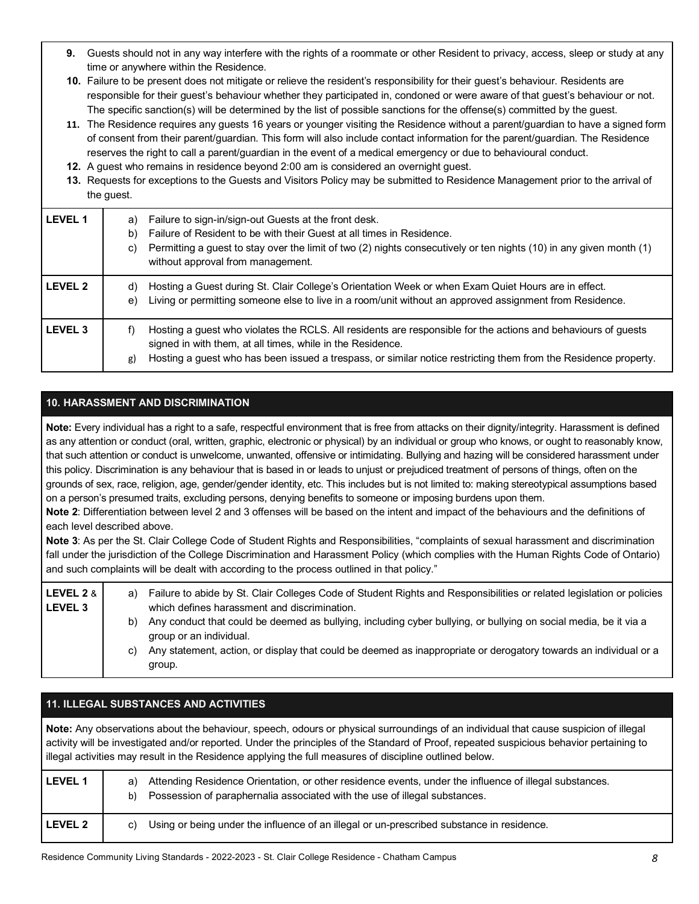- **9.** Guests should not in any way interfere with the rights of a roommate or other Resident to privacy, access, sleep or study at any time or anywhere within the Residence.
- **10.** Failure to be present does not mitigate or relieve the resident's responsibility for their guest's behaviour. Residents are responsible for their guest's behaviour whether they participated in, condoned or were aware of that guest's behaviour or not. The specific sanction(s) will be determined by the list of possible sanctions for the offense(s) committed by the guest.
- **11.** The Residence requires any guests 16 years or younger visiting the Residence without a parent/guardian to have a signed form of consent from their parent/guardian. This form will also include contact information for the parent/guardian. The Residence reserves the right to call a parent/guardian in the event of a medical emergency or due to behavioural conduct.
- **12.** A guest who remains in residence beyond 2:00 am is considered an overnight guest.
- **13.** Requests for exceptions to the Guests and Visitors Policy may be submitted to Residence Management prior to the arrival of the guest.

| <b>LEVEL 1</b> | Failure to sign-in/sign-out Guests at the front desk.<br>a)<br>Failure of Resident to be with their Guest at all times in Residence.<br>b)<br>Permitting a guest to stay over the limit of two (2) nights consecutively or ten nights (10) in any given month (1)<br>C)<br>without approval from management. |
|----------------|--------------------------------------------------------------------------------------------------------------------------------------------------------------------------------------------------------------------------------------------------------------------------------------------------------------|
| <b>LEVEL 2</b> | Hosting a Guest during St. Clair College's Orientation Week or when Exam Quiet Hours are in effect.<br>d)<br>Living or permitting someone else to live in a room/unit without an approved assignment from Residence.<br>e)                                                                                   |
| <b>LEVEL 3</b> | Hosting a guest who violates the RCLS. All residents are responsible for the actions and behaviours of guests<br>f)<br>signed in with them, at all times, while in the Residence.<br>Hosting a guest who has been issued a trespass, or similar notice restricting them from the Residence property.<br>g)   |

# **10. HARASSMENT AND DISCRIMINATION**

**Note:** Every individual has a right to a safe, respectful environment that is free from attacks on their dignity/integrity. Harassment is defined as any attention or conduct (oral, written, graphic, electronic or physical) by an individual or group who knows, or ought to reasonably know, that such attention or conduct is unwelcome, unwanted, offensive or intimidating. Bullying and hazing will be considered harassment under this policy. Discrimination is any behaviour that is based in or leads to unjust or prejudiced treatment of persons of things, often on the grounds of sex, race, religion, age, gender/gender identity, etc. This includes but is not limited to: making stereotypical assumptions based on a person's presumed traits, excluding persons, denying benefits to someone or imposing burdens upon them.

**Note 2**: Differentiation between level 2 and 3 offenses will be based on the intent and impact of the behaviours and the definitions of each level described above.

**Note 3**: As per the St. Clair College Code of Student Rights and Responsibilities, "complaints of sexual harassment and discrimination fall under the jurisdiction of the College Discrimination and Harassment Policy (which complies with the Human Rights Code of Ontario) and such complaints will be dealt with according to the process outlined in that policy."

| LEVEL 2 $&$ $\vert$<br><b>LEVEL 3</b> | a) | Failure to abide by St. Clair Colleges Code of Student Rights and Responsibilities or related legislation or policies<br>which defines harassment and discrimination. |
|---------------------------------------|----|-----------------------------------------------------------------------------------------------------------------------------------------------------------------------|
|                                       | b) | Any conduct that could be deemed as bullying, including cyber bullying, or bullying on social media, be it via a<br>group or an individual.                           |
|                                       | C) | Any statement, action, or display that could be deemed as inappropriate or derogatory towards an individual or a<br>group.                                            |

| <b>11. ILLEGAL SUBSTANCES AND ACTIVITIES</b>                                                                                                                                                                                                                                                                                                                                                |                                                                                                                                                                                                  |  |  |
|---------------------------------------------------------------------------------------------------------------------------------------------------------------------------------------------------------------------------------------------------------------------------------------------------------------------------------------------------------------------------------------------|--------------------------------------------------------------------------------------------------------------------------------------------------------------------------------------------------|--|--|
| Note: Any observations about the behaviour, speech, odours or physical surroundings of an individual that cause suspicion of illegal<br>activity will be investigated and/or reported. Under the principles of the Standard of Proof, repeated suspicious behavior pertaining to<br>illegal activities may result in the Residence applying the full measures of discipline outlined below. |                                                                                                                                                                                                  |  |  |
| <b>LEVEL 1</b>                                                                                                                                                                                                                                                                                                                                                                              | Attending Residence Orientation, or other residence events, under the influence of illegal substances.<br>a)<br>Possession of paraphernalia associated with the use of illegal substances.<br>b) |  |  |
| <b>LEVEL 2</b>                                                                                                                                                                                                                                                                                                                                                                              | Using or being under the influence of an illegal or un-prescribed substance in residence.<br>C)                                                                                                  |  |  |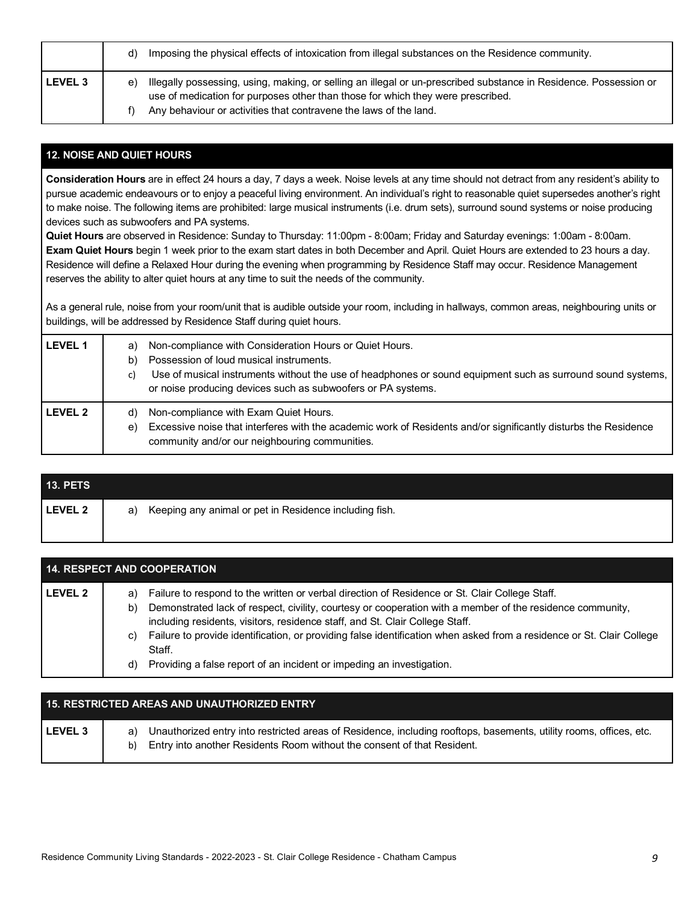|                    | Imposing the physical effects of intoxication from illegal substances on the Residence community.<br>d) |                                                                                                                                                                                                                                                                           |
|--------------------|---------------------------------------------------------------------------------------------------------|---------------------------------------------------------------------------------------------------------------------------------------------------------------------------------------------------------------------------------------------------------------------------|
| LEVEL <sub>3</sub> | e)                                                                                                      | Illegally possessing, using, making, or selling an illegal or un-prescribed substance in Residence. Possession or<br>use of medication for purposes other than those for which they were prescribed.<br>Any behaviour or activities that contravene the laws of the land. |

## **12. NOISE AND QUIET HOURS**

**Consideration Hours** are in effect 24 hours a day, 7 days a week. Noise levels at any time should not detract from any resident's ability to pursue academic endeavours or to enjoy a peaceful living environment. An individual's right to reasonable quiet supersedes another's right to make noise. The following items are prohibited: large musical instruments (i.e. drum sets), surround sound systems or noise producing devices such as subwoofers and PA systems.

**Quiet Hours** are observed in Residence: Sunday to Thursday: 11:00pm - 8:00am; Friday and Saturday evenings: 1:00am - 8:00am. **Exam Quiet Hours** begin 1 week prior to the exam start dates in both December and April. Quiet Hours are extended to 23 hours a day. Residence will define a Relaxed Hour during the evening when programming by Residence Staff may occur. Residence Management reserves the ability to alter quiet hours at any time to suit the needs of the community.

As a general rule, noise from your room/unit that is audible outside your room, including in hallways, common areas, neighbouring units or buildings, will be addressed by Residence Staff during quiet hours.

| <b>LEVEL 1</b> | a)<br>b)<br>C) | Non-compliance with Consideration Hours or Quiet Hours.<br>Possession of loud musical instruments.<br>Use of musical instruments without the use of headphones or sound equipment such as surround sound systems,<br>or noise producing devices such as subwoofers or PA systems. |
|----------------|----------------|-----------------------------------------------------------------------------------------------------------------------------------------------------------------------------------------------------------------------------------------------------------------------------------|
| <b>LEVEL 2</b> | d)<br>e)       | Non-compliance with Exam Quiet Hours.<br>Excessive noise that interferes with the academic work of Residents and/or significantly disturbs the Residence<br>community and/or our neighbouring communities.                                                                        |

| <b>13. PETS</b> |                                                              |
|-----------------|--------------------------------------------------------------|
| LEVEL 2         | Keeping any animal or pet in Residence including fish.<br>a) |

| <b>14. RESPECT AND COOPERATION</b> |                                                                                                                                                                                                                                                                                                                                                                                                                                                                                                                                 |  |  |
|------------------------------------|---------------------------------------------------------------------------------------------------------------------------------------------------------------------------------------------------------------------------------------------------------------------------------------------------------------------------------------------------------------------------------------------------------------------------------------------------------------------------------------------------------------------------------|--|--|
| <b>LEVEL 2</b>                     | Failure to respond to the written or verbal direction of Residence or St. Clair College Staff.<br>a)<br>Demonstrated lack of respect, civility, courtesy or cooperation with a member of the residence community,<br>b)<br>including residents, visitors, residence staff, and St. Clair College Staff.<br>Failure to provide identification, or providing false identification when asked from a residence or St. Clair College<br>C)<br>Staff.<br>Providing a false report of an incident or impeding an investigation.<br>d) |  |  |

| <b>15. RESTRICTED AREAS AND UNAUTHORIZED ENTRY</b> |                                                                                                                                                                                                           |  |  |
|----------------------------------------------------|-----------------------------------------------------------------------------------------------------------------------------------------------------------------------------------------------------------|--|--|
| LEVEL 3                                            | Unauthorized entry into restricted areas of Residence, including rooftops, basements, utility rooms, offices, etc.<br>a)<br>Entry into another Residents Room without the consent of that Resident.<br>b) |  |  |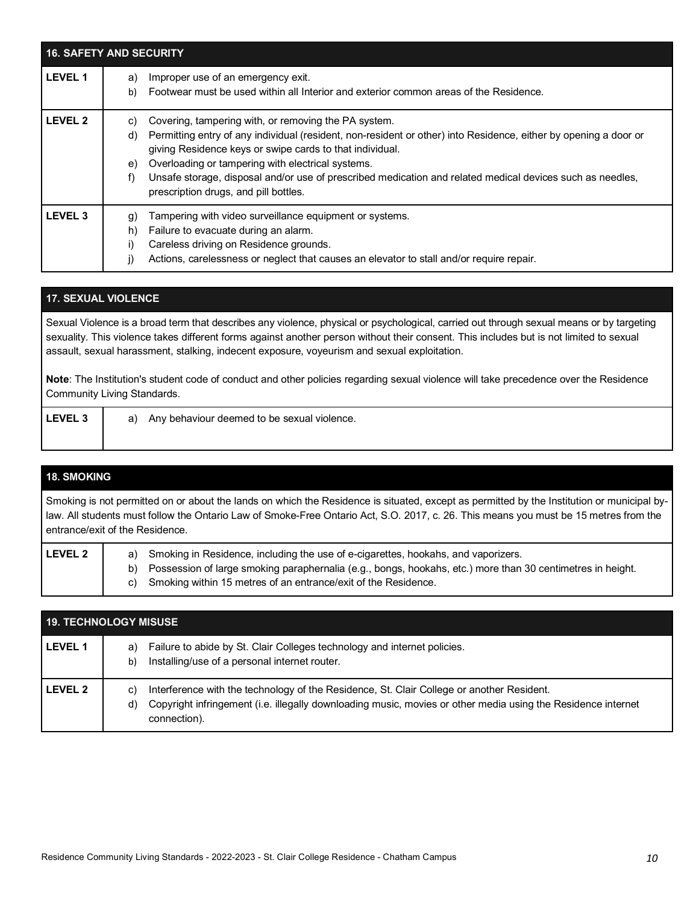|                | <b>16. SAFETY AND SECURITY</b>                                                                                                                                                                                                                                                                                                                                                                                                                                          |
|----------------|-------------------------------------------------------------------------------------------------------------------------------------------------------------------------------------------------------------------------------------------------------------------------------------------------------------------------------------------------------------------------------------------------------------------------------------------------------------------------|
| <b>LEVEL 1</b> | Improper use of an emergency exit.<br>a)<br>Footwear must be used within all Interior and exterior common areas of the Residence.<br>b)                                                                                                                                                                                                                                                                                                                                 |
| <b>LEVEL 2</b> | Covering, tampering with, or removing the PA system.<br>C)<br>Permitting entry of any individual (resident, non-resident or other) into Residence, either by opening a door or<br>d)<br>giving Residence keys or swipe cards to that individual.<br>Overloading or tampering with electrical systems.<br>e)<br>Unsafe storage, disposal and/or use of prescribed medication and related medical devices such as needles,<br>f)<br>prescription drugs, and pill bottles. |
| <b>LEVEL 3</b> | Tampering with video surveillance equipment or systems.<br>g)<br>Failure to evacuate during an alarm.<br>h)<br>Careless driving on Residence grounds.<br>Actions, carelessness or neglect that causes an elevator to stall and/or require repair.                                                                                                                                                                                                                       |

#### **17. SEXUAL VIOLENCE**

Sexual Violence is a broad term that describes any violence, physical or psychological, carried out through sexual means or by targeting sexuality. This violence takes different forms against another person without their consent. This includes but is not limited to sexual assault, sexual harassment, stalking, indecent exposure, voyeurism and sexual exploitation.

**Note**: The Institution's student code of conduct and other policies regarding sexual violence will take precedence over the Residence Community Living Standards.

| <b>LEVEL 3</b> | Any behaviour deemed to be sexual violence.<br>a) |
|----------------|---------------------------------------------------|
|                |                                                   |

# **18. SMOKING** Smoking is not permitted on or about the lands on which the Residence is situated, except as permitted by the Institution or municipal bylaw. All students must follow the Ontario Law of Smoke-Free Ontario Act, S.O. 2017, c. 26. This means you must be 15 metres from the entrance/exit of the Residence. **LEVEL 2** a) Smoking in Residence, including the use of e-cigarettes, hookahs, and vaporizers. b) Possession of large smoking paraphernalia (e.g., bongs, hookahs, etc.) more than 30 centimetres in height. c) Smoking within 15 metres of an entrance/exit of the Residence.

| <b>19. TECHNOLOGY MISUSE</b> |                                                                                                                                                                                                                                       |  |  |
|------------------------------|---------------------------------------------------------------------------------------------------------------------------------------------------------------------------------------------------------------------------------------|--|--|
| l LEVEL 1                    | Failure to abide by St. Clair Colleges technology and internet policies.<br>a)<br>Installing/use of a personal internet router.<br>b)                                                                                                 |  |  |
| l LEVEL 2                    | Interference with the technology of the Residence, St. Clair College or another Resident.<br>C)<br>Copyright infringement (i.e. illegally downloading music, movies or other media using the Residence internet<br>d)<br>connection). |  |  |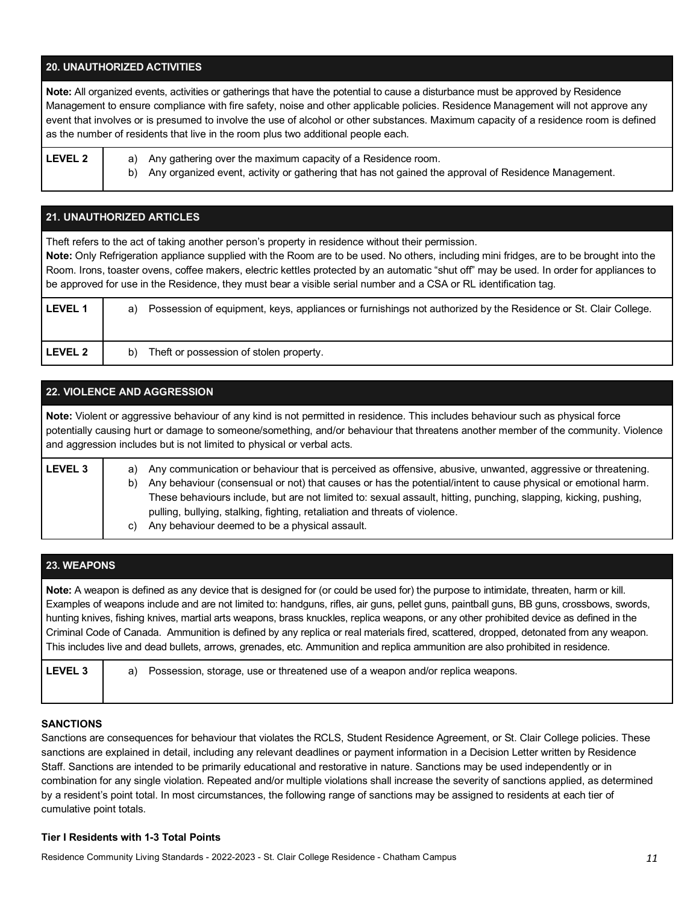#### **20. UNAUTHORIZED ACTIVITIES**

**Note:** All organized events, activities or gatherings that have the potential to cause a disturbance must be approved by Residence Management to ensure compliance with fire safety, noise and other applicable policies. Residence Management will not approve any event that involves or is presumed to involve the use of alcohol or other substances. Maximum capacity of a residence room is defined as the number of residents that live in the room plus two additional people each.

- 
- **LEVEL 2** a) Any gathering over the maximum capacity of a Residence room.
	- b) Any organized event, activity or gathering that has not gained the approval of Residence Management.

| <b>21. UNAUTHORIZED ARTICLES</b>                                                                                                                                                                                                                                                                                                                                                                                                                                                                              |                                                                                                                      |  |  |
|---------------------------------------------------------------------------------------------------------------------------------------------------------------------------------------------------------------------------------------------------------------------------------------------------------------------------------------------------------------------------------------------------------------------------------------------------------------------------------------------------------------|----------------------------------------------------------------------------------------------------------------------|--|--|
| Theft refers to the act of taking another person's property in residence without their permission.<br>Note: Only Refrigeration appliance supplied with the Room are to be used. No others, including mini fridges, are to be brought into the<br>Room. Irons, toaster ovens, coffee makers, electric kettles protected by an automatic "shut off" may be used. In order for appliances to<br>be approved for use in the Residence, they must bear a visible serial number and a CSA or RL identification tag. |                                                                                                                      |  |  |
| <b>LEVEL 1</b>                                                                                                                                                                                                                                                                                                                                                                                                                                                                                                | Possession of equipment, keys, appliances or furnishings not authorized by the Residence or St. Clair College.<br>a) |  |  |
| <b>LEVEL 2</b>                                                                                                                                                                                                                                                                                                                                                                                                                                                                                                | Theft or possession of stolen property.<br>b)                                                                        |  |  |

# **22. VIOLENCE AND AGGRESSION**

**Note:** Violent or aggressive behaviour of any kind is not permitted in residence. This includes behaviour such as physical force potentially causing hurt or damage to someone/something, and/or behaviour that threatens another member of the community. Violence and aggression includes but is not limited to physical or verbal acts.

| <b>LEVEL 3</b> | Any communication or behaviour that is perceived as offensive, abusive, unwanted, aggressive or threatening.<br>a) |                                                                                                                  |  |  |
|----------------|--------------------------------------------------------------------------------------------------------------------|------------------------------------------------------------------------------------------------------------------|--|--|
|                | b)                                                                                                                 | Any behaviour (consensual or not) that causes or has the potential/intent to cause physical or emotional harm.   |  |  |
|                |                                                                                                                    | These behaviours include, but are not limited to: sexual assault, hitting, punching, slapping, kicking, pushing, |  |  |
|                |                                                                                                                    | pulling, bullying, stalking, fighting, retaliation and threats of violence.                                      |  |  |
|                | C)                                                                                                                 | Any behaviour deemed to be a physical assault.                                                                   |  |  |
|                |                                                                                                                    |                                                                                                                  |  |  |

## **23. WEAPONS**

**Note:** A weapon is defined as any device that is designed for (or could be used for) the purpose to intimidate, threaten, harm or kill. Examples of weapons include and are not limited to: handguns, rifles, air guns, pellet guns, paintball guns, BB guns, crossbows, swords, hunting knives, fishing knives, martial arts weapons, brass knuckles, replica weapons, or any other prohibited device as defined in the Criminal Code of Canada. Ammunition is defined by any replica or real materials fired, scattered, dropped, detonated from any weapon. This includes live and dead bullets, arrows, grenades, etc. Ammunition and replica ammunition are also prohibited in residence.

| <b>LEVEL 3</b> | a) Possession, storage, use or threatened use of a weapon and/or replica weapons. |
|----------------|-----------------------------------------------------------------------------------|
|                |                                                                                   |

#### **SANCTIONS**

Sanctions are consequences for behaviour that violates the RCLS, Student Residence Agreement, or St. Clair College policies. These sanctions are explained in detail, including any relevant deadlines or payment information in a Decision Letter written by Residence Staff. Sanctions are intended to be primarily educational and restorative in nature. Sanctions may be used independently or in combination for any single violation. Repeated and/or multiple violations shall increase the severity of sanctions applied, as determined by a resident's point total. In most circumstances, the following range of sanctions may be assigned to residents at each tier of cumulative point totals.

#### **Tier I Residents with 1-3 Total Points**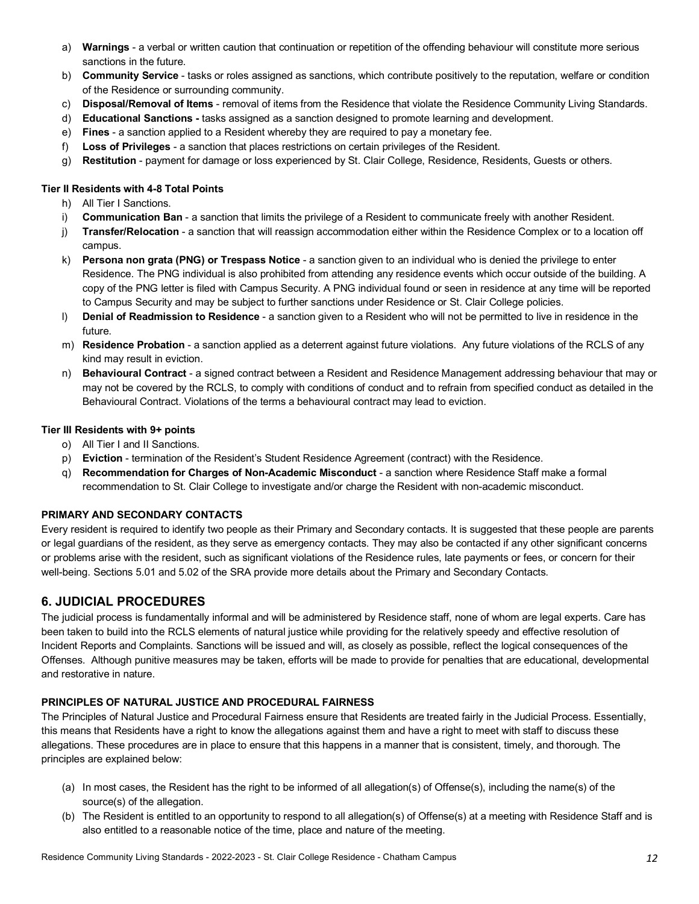- a) **Warnings** a verbal or written caution that continuation or repetition of the offending behaviour will constitute more serious sanctions in the future.
- b) **Community Service** tasks or roles assigned as sanctions, which contribute positively to the reputation, welfare or condition of the Residence or surrounding community.
- c) **Disposal/Removal of Items** removal of items from the Residence that violate the Residence Community Living Standards.
- d) **Educational Sanctions -** tasks assigned as a sanction designed to promote learning and development.
- e) **Fines** a sanction applied to a Resident whereby they are required to pay a monetary fee.
- f) **Loss of Privileges** a sanction that places restrictions on certain privileges of the Resident.
- g) **Restitution** payment for damage or loss experienced by St. Clair College, Residence, Residents, Guests or others.

#### **Tier II Residents with 4-8 Total Points**

- h) All Tier I Sanctions.
- i) **Communication Ban** a sanction that limits the privilege of a Resident to communicate freely with another Resident.
- j) **Transfer/Relocation** a sanction that will reassign accommodation either within the Residence Complex or to a location off campus.
- k) **Persona non grata (PNG) or Trespass Notice** a sanction given to an individual who is denied the privilege to enter Residence. The PNG individual is also prohibited from attending any residence events which occur outside of the building. A copy of the PNG letter is filed with Campus Security. A PNG individual found or seen in residence at any time will be reported to Campus Security and may be subject to further sanctions under Residence or St. Clair College policies.
- l) **Denial of Readmission to Residence** a sanction given to a Resident who will not be permitted to live in residence in the future.
- m) **Residence Probation** a sanction applied as a deterrent against future violations. Any future violations of the RCLS of any kind may result in eviction.
- n) **Behavioural Contract** a signed contract between a Resident and Residence Management addressing behaviour that may or may not be covered by the RCLS, to comply with conditions of conduct and to refrain from specified conduct as detailed in the Behavioural Contract. Violations of the terms a behavioural contract may lead to eviction.

#### **Tier III Residents with 9+ points**

- o) All Tier I and II Sanctions.
- p) **Eviction** termination of the Resident's Student Residence Agreement (contract) with the Residence.
- q) **Recommendation for Charges of Non-Academic Misconduct** a sanction where Residence Staff make a formal recommendation to St. Clair College to investigate and/or charge the Resident with non-academic misconduct.

## **PRIMARY AND SECONDARY CONTACTS**

Every resident is required to identify two people as their Primary and Secondary contacts. It is suggested that these people are parents or legal guardians of the resident, as they serve as emergency contacts. They may also be contacted if any other significant concerns or problems arise with the resident, such as significant violations of the Residence rules, late payments or fees, or concern for their well-being. Sections 5.01 and 5.02 of the SRA provide more details about the Primary and Secondary Contacts.

# **6. JUDICIAL PROCEDURES**

The judicial process is fundamentally informal and will be administered by Residence staff, none of whom are legal experts. Care has been taken to build into the RCLS elements of natural justice while providing for the relatively speedy and effective resolution of Incident Reports and Complaints. Sanctions will be issued and will, as closely as possible, reflect the logical consequences of the Offenses. Although punitive measures may be taken, efforts will be made to provide for penalties that are educational, developmental and restorative in nature.

#### **PRINCIPLES OF NATURAL JUSTICE AND PROCEDURAL FAIRNESS**

The Principles of Natural Justice and Procedural Fairness ensure that Residents are treated fairly in the Judicial Process. Essentially, this means that Residents have a right to know the allegations against them and have a right to meet with staff to discuss these allegations. These procedures are in place to ensure that this happens in a manner that is consistent, timely, and thorough. The principles are explained below:

- (a) In most cases, the Resident has the right to be informed of all allegation(s) of Offense(s), including the name(s) of the source(s) of the allegation.
- (b) The Resident is entitled to an opportunity to respond to all allegation(s) of Offense(s) at a meeting with Residence Staff and is also entitled to a reasonable notice of the time, place and nature of the meeting.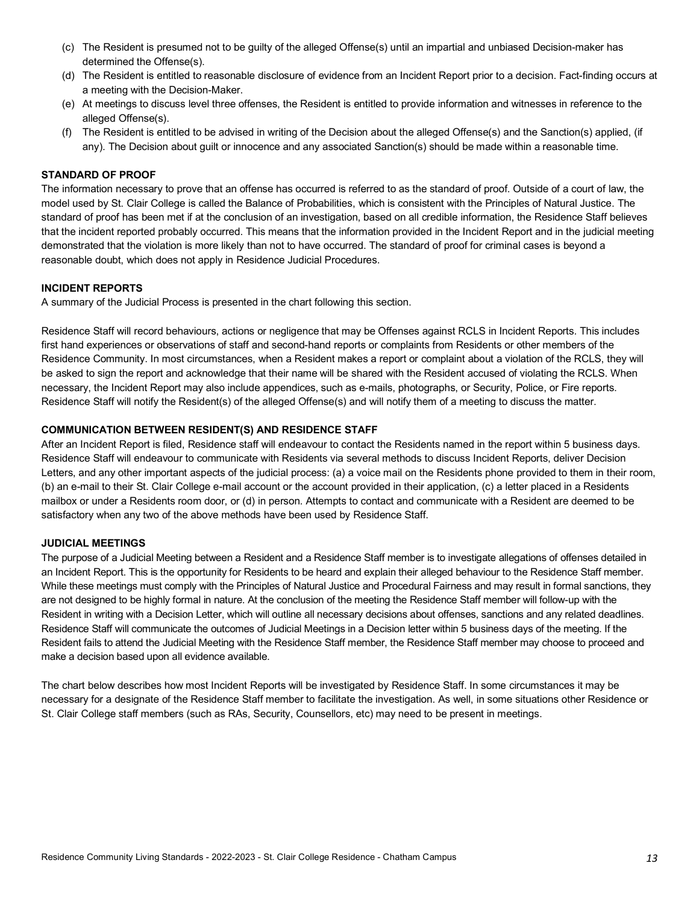- (c) The Resident is presumed not to be guilty of the alleged Offense(s) until an impartial and unbiased Decision-maker has determined the Offense(s).
- (d) The Resident is entitled to reasonable disclosure of evidence from an Incident Report prior to a decision. Fact-finding occurs at a meeting with the Decision-Maker.
- (e) At meetings to discuss level three offenses, the Resident is entitled to provide information and witnesses in reference to the alleged Offense(s).
- (f) The Resident is entitled to be advised in writing of the Decision about the alleged Offense(s) and the Sanction(s) applied, (if any). The Decision about guilt or innocence and any associated Sanction(s) should be made within a reasonable time.

#### **STANDARD OF PROOF**

The information necessary to prove that an offense has occurred is referred to as the standard of proof. Outside of a court of law, the model used by St. Clair College is called the Balance of Probabilities, which is consistent with the Principles of Natural Justice. The standard of proof has been met if at the conclusion of an investigation, based on all credible information, the Residence Staff believes that the incident reported probably occurred. This means that the information provided in the Incident Report and in the judicial meeting demonstrated that the violation is more likely than not to have occurred. The standard of proof for criminal cases is beyond a reasonable doubt, which does not apply in Residence Judicial Procedures.

#### **INCIDENT REPORTS**

A summary of the Judicial Process is presented in the chart following this section.

Residence Staff will record behaviours, actions or negligence that may be Offenses against RCLS in Incident Reports. This includes first hand experiences or observations of staff and second-hand reports or complaints from Residents or other members of the Residence Community. In most circumstances, when a Resident makes a report or complaint about a violation of the RCLS, they will be asked to sign the report and acknowledge that their name will be shared with the Resident accused of violating the RCLS. When necessary, the Incident Report may also include appendices, such as e-mails, photographs, or Security, Police, or Fire reports. Residence Staff will notify the Resident(s) of the alleged Offense(s) and will notify them of a meeting to discuss the matter.

#### **COMMUNICATION BETWEEN RESIDENT(S) AND RESIDENCE STAFF**

After an Incident Report is filed, Residence staff will endeavour to contact the Residents named in the report within 5 business days. Residence Staff will endeavour to communicate with Residents via several methods to discuss Incident Reports, deliver Decision Letters, and any other important aspects of the judicial process: (a) a voice mail on the Residents phone provided to them in their room, (b) an e-mail to their St. Clair College e-mail account or the account provided in their application, (c) a letter placed in a Residents mailbox or under a Residents room door, or (d) in person. Attempts to contact and communicate with a Resident are deemed to be satisfactory when any two of the above methods have been used by Residence Staff.

#### **JUDICIAL MEETINGS**

The purpose of a Judicial Meeting between a Resident and a Residence Staff member is to investigate allegations of offenses detailed in an Incident Report. This is the opportunity for Residents to be heard and explain their alleged behaviour to the Residence Staff member. While these meetings must comply with the Principles of Natural Justice and Procedural Fairness and may result in formal sanctions, they are not designed to be highly formal in nature. At the conclusion of the meeting the Residence Staff member will follow-up with the Resident in writing with a Decision Letter, which will outline all necessary decisions about offenses, sanctions and any related deadlines. Residence Staff will communicate the outcomes of Judicial Meetings in a Decision letter within 5 business days of the meeting. If the Resident fails to attend the Judicial Meeting with the Residence Staff member, the Residence Staff member may choose to proceed and make a decision based upon all evidence available.

The chart below describes how most Incident Reports will be investigated by Residence Staff. In some circumstances it may be necessary for a designate of the Residence Staff member to facilitate the investigation. As well, in some situations other Residence or St. Clair College staff members (such as RAs, Security, Counsellors, etc) may need to be present in meetings.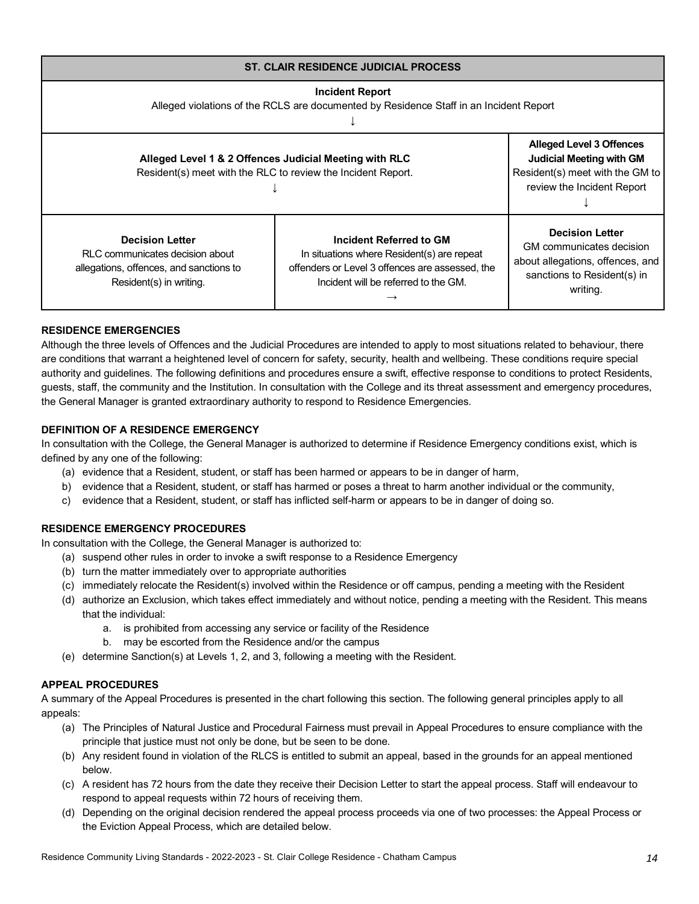| <b>ST. CLAIR RESIDENCE JUDICIAL PROCESS</b>                                                                                     |                                                                                                                                                                  |                                                                                                                                   |  |
|---------------------------------------------------------------------------------------------------------------------------------|------------------------------------------------------------------------------------------------------------------------------------------------------------------|-----------------------------------------------------------------------------------------------------------------------------------|--|
| <b>Incident Report</b><br>Alleged violations of the RCLS are documented by Residence Staff in an Incident Report                |                                                                                                                                                                  |                                                                                                                                   |  |
| Alleged Level 1 & 2 Offences Judicial Meeting with RLC<br>Resident(s) meet with the RLC to review the Incident Report.          | <b>Alleged Level 3 Offences</b><br><b>Judicial Meeting with GM</b><br>Resident(s) meet with the GM to<br>review the Incident Report                              |                                                                                                                                   |  |
| <b>Decision Letter</b><br>RLC communicates decision about<br>allegations, offences, and sanctions to<br>Resident(s) in writing. | Incident Referred to GM<br>In situations where Resident(s) are repeat<br>offenders or Level 3 offences are assessed, the<br>Incident will be referred to the GM. | <b>Decision Letter</b><br>GM communicates decision<br>about allegations, offences, and<br>sanctions to Resident(s) in<br>writing. |  |

#### **RESIDENCE EMERGENCIES**

Although the three levels of Offences and the Judicial Procedures are intended to apply to most situations related to behaviour, there are conditions that warrant a heightened level of concern for safety, security, health and wellbeing. These conditions require special authority and guidelines. The following definitions and procedures ensure a swift, effective response to conditions to protect Residents, guests, staff, the community and the Institution. In consultation with the College and its threat assessment and emergency procedures, the General Manager is granted extraordinary authority to respond to Residence Emergencies.

#### **DEFINITION OF A RESIDENCE EMERGENCY**

In consultation with the College, the General Manager is authorized to determine if Residence Emergency conditions exist, which is defined by any one of the following:

- (a) evidence that a Resident, student, or staff has been harmed or appears to be in danger of harm,
- b) evidence that a Resident, student, or staff has harmed or poses a threat to harm another individual or the community,
- c) evidence that a Resident, student, or staff has inflicted self-harm or appears to be in danger of doing so.

#### **RESIDENCE EMERGENCY PROCEDURES**

In consultation with the College, the General Manager is authorized to:

- (a) suspend other rules in order to invoke a swift response to a Residence Emergency
- (b) turn the matter immediately over to appropriate authorities
- (c) immediately relocate the Resident(s) involved within the Residence or off campus, pending a meeting with the Resident
- (d) authorize an Exclusion, which takes effect immediately and without notice, pending a meeting with the Resident. This means that the individual:
	- a. is prohibited from accessing any service or facility of the Residence
	- b. may be escorted from the Residence and/or the campus
- (e) determine Sanction(s) at Levels 1, 2, and 3, following a meeting with the Resident.

#### **APPEAL PROCEDURES**

A summary of the Appeal Procedures is presented in the chart following this section. The following general principles apply to all appeals:

- (a) The Principles of Natural Justice and Procedural Fairness must prevail in Appeal Procedures to ensure compliance with the principle that justice must not only be done, but be seen to be done.
- (b) Any resident found in violation of the RLCS is entitled to submit an appeal, based in the grounds for an appeal mentioned below.
- (c) A resident has 72 hours from the date they receive their Decision Letter to start the appeal process. Staff will endeavour to respond to appeal requests within 72 hours of receiving them.
- (d) Depending on the original decision rendered the appeal process proceeds via one of two processes: the Appeal Process or the Eviction Appeal Process, which are detailed below.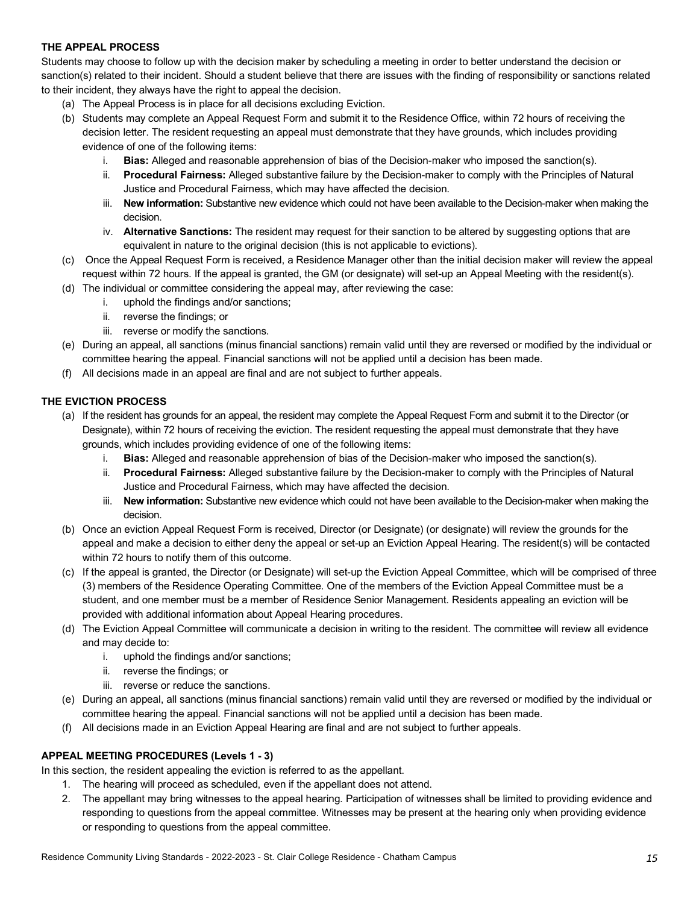#### **THE APPEAL PROCESS**

Students may choose to follow up with the decision maker by scheduling a meeting in order to better understand the decision or sanction(s) related to their incident. Should a student believe that there are issues with the finding of responsibility or sanctions related to their incident, they always have the right to appeal the decision.

- (a) The Appeal Process is in place for all decisions excluding Eviction.
- (b) Students may complete an Appeal Request Form and submit it to the Residence Office, within 72 hours of receiving the decision letter. The resident requesting an appeal must demonstrate that they have grounds, which includes providing evidence of one of the following items:
	- i. **Bias:** Alleged and reasonable apprehension of bias of the Decision-maker who imposed the sanction(s).
	- ii. **Procedural Fairness:** Alleged substantive failure by the Decision-maker to comply with the Principles of Natural Justice and Procedural Fairness, which may have affected the decision.
	- iii. **New information:** Substantive new evidence which could not have been available to the Decision-maker when making the decision.
	- iv. **Alternative Sanctions:** The resident may request for their sanction to be altered by suggesting options that are equivalent in nature to the original decision (this is not applicable to evictions).
- (c) Once the Appeal Request Form is received, a Residence Manager other than the initial decision maker will review the appeal request within 72 hours. If the appeal is granted, the GM (or designate) will set-up an Appeal Meeting with the resident(s).
- (d) The individual or committee considering the appeal may, after reviewing the case:
	- i. uphold the findings and/or sanctions;
	- ii. reverse the findings; or
	- iii. reverse or modify the sanctions.
- (e) During an appeal, all sanctions (minus financial sanctions) remain valid until they are reversed or modified by the individual or committee hearing the appeal. Financial sanctions will not be applied until a decision has been made.
- (f) All decisions made in an appeal are final and are not subject to further appeals.

#### **THE EVICTION PROCESS**

- (a) If the resident has grounds for an appeal, the resident may complete the Appeal Request Form and submit it to the Director (or Designate), within 72 hours of receiving the eviction. The resident requesting the appeal must demonstrate that they have grounds, which includes providing evidence of one of the following items:
	- i. **Bias:** Alleged and reasonable apprehension of bias of the Decision-maker who imposed the sanction(s).
	- ii. **Procedural Fairness:** Alleged substantive failure by the Decision-maker to comply with the Principles of Natural Justice and Procedural Fairness, which may have affected the decision.
	- iii. **New information:** Substantive new evidence which could not have been available to the Decision-maker when making the decision.
- (b) Once an eviction Appeal Request Form is received, Director (or Designate) (or designate) will review the grounds for the appeal and make a decision to either deny the appeal or set-up an Eviction Appeal Hearing. The resident(s) will be contacted within 72 hours to notify them of this outcome.
- (c) If the appeal is granted, the Director (or Designate) will set-up the Eviction Appeal Committee, which will be comprised of three (3) members of the Residence Operating Committee. One of the members of the Eviction Appeal Committee must be a student, and one member must be a member of Residence Senior Management. Residents appealing an eviction will be provided with additional information about Appeal Hearing procedures.
- (d) The Eviction Appeal Committee will communicate a decision in writing to the resident. The committee will review all evidence and may decide to:
	- i. uphold the findings and/or sanctions;
	- ii. reverse the findings; or
	- iii. reverse or reduce the sanctions.
- (e) During an appeal, all sanctions (minus financial sanctions) remain valid until they are reversed or modified by the individual or committee hearing the appeal. Financial sanctions will not be applied until a decision has been made.
- (f) All decisions made in an Eviction Appeal Hearing are final and are not subject to further appeals.

#### **APPEAL MEETING PROCEDURES (Levels 1 - 3)**

In this section, the resident appealing the eviction is referred to as the appellant.

- 1. The hearing will proceed as scheduled, even if the appellant does not attend.
- 2. The appellant may bring witnesses to the appeal hearing. Participation of witnesses shall be limited to providing evidence and responding to questions from the appeal committee. Witnesses may be present at the hearing only when providing evidence or responding to questions from the appeal committee.